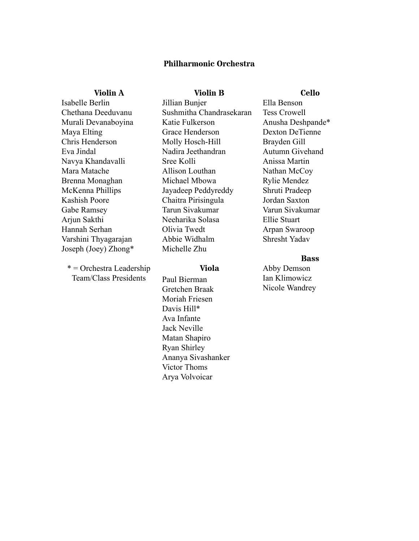# **Philharmonic Orchestra**

**Violin B**

## **Violin A**

Isabelle Berlin Chethana Deeduvanu Murali Devanaboyina Maya Elting Chris Henderson Eva Jindal Navya Khandavalli Mara Matache Brenna Monaghan McKenna Phillips Kashish Poore Gabe Ramsey Arjun Sakthi Hannah Serhan Varshini Thyagarajan Joseph (Joey) Zhong\*

 $*$  = Orchestra Leadership Team/Class Presidents

Jillian Bunjer Sushmitha Chandrasekaran Katie Fulkerson Grace Henderson Molly Hosch-Hill Nadira Jeethandran Sree Kolli Allison Louthan Michael Mbowa Jayadeep Peddyreddy Chaitra Pirisingula Tarun Sivakumar Neeharika Solasa Olivia Twedt Abbie Widhalm Michelle Zhu

## **Viola**

Paul Bierman Gretchen Braak Moriah Friesen Davis Hill\* Ava Infante Jack Neville Matan Shapiro Ryan Shirley Ananya Sivashanker Victor Thoms Arya Volvoicar

**Cello**

Ella Benson Tess Crowell Anusha Deshpande\* Dexton DeTienne Brayden Gill Autumn Givehand Anissa Martin Nathan McCoy Rylie Mendez Shruti Pradeep Jordan Saxton Varun Sivakumar Ellie Stuart Arpan Swaroop Shresht Yadav

### **Bass**

Abby Demson Ian Klimowicz Nicole Wandrey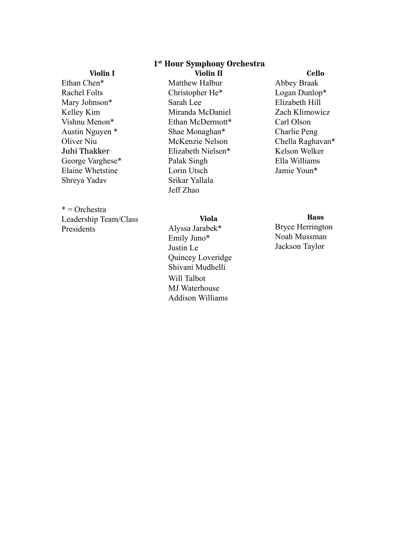# **1 st Hour Symphony Orchestra**

## **Violin I**

Ethan Chen\* Rachel Folts Mary Johnson\* Kelley Kim Vishnu Menon\* Austin Nguyen \* Oliver Niu Juhi Thakker George Varghese\* Elaine Whetstine Shreya Yadav

# $*$  = Orchestra

Leadership Team/Class Presidents

**Violin II** Matthew Halbur Christopher He\* Sarah Lee Miranda McDaniel Ethan McDermott\* Shae Monaghan\* McKenzie Nelson Elizabeth Nielsen\* Palak Singh Lorin Utsch Srikar Yallala Jeff Zhao

# **Viola**

Alyssa Jarabek\* Emily Juno\* Justin Le Quincey Loveridge Shivani Mudhelli Will Talbot MJ Waterhouse Addison Williams

## **Cello**

Abbey Braak Logan Dunlop\* Elizabeth Hill Zach Klimowicz Carl Olson Charlie Peng Chella Raghavan\* Kelson Welker Ella Williams Jamie Youn\*

# **Bass**

Bryce Herrington Noah Mussman Jackson Taylor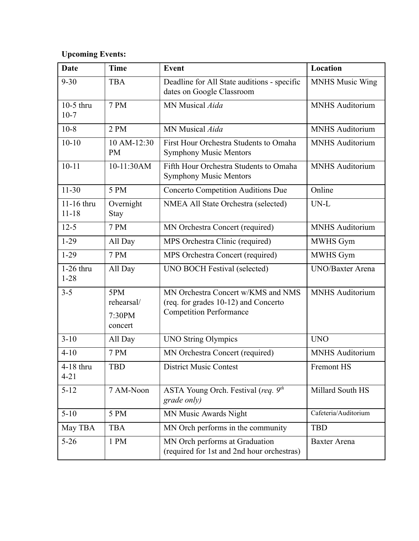# **Upcoming Events:**

| <b>Date</b>             | <b>Time</b>                            | <b>Event</b>                                                                                                 | Location                |
|-------------------------|----------------------------------------|--------------------------------------------------------------------------------------------------------------|-------------------------|
| $9 - 30$                | <b>TBA</b>                             | Deadline for All State auditions - specific<br>dates on Google Classroom                                     | <b>MNHS Music Wing</b>  |
| $10-5$ thru<br>$10-7$   | <b>7 PM</b>                            | MN Musical Aida                                                                                              | <b>MNHS</b> Auditorium  |
| $10-8$                  | 2 PM                                   | MN Musical Aida                                                                                              | <b>MNHS Auditorium</b>  |
| $10 - 10$               | 10 AM-12:30<br><b>PM</b>               | First Hour Orchestra Students to Omaha<br><b>Symphony Music Mentors</b>                                      | <b>MNHS</b> Auditorium  |
| $10 - 11$               | 10-11:30AM                             | Fifth Hour Orchestra Students to Omaha<br><b>Symphony Music Mentors</b>                                      | <b>MNHS</b> Auditorium  |
| $11 - 30$               | 5 PM                                   | <b>Concerto Competition Auditions Due</b>                                                                    | Online                  |
| 11-16 thru<br>$11 - 18$ | Overnight<br>Stay                      | NMEA All State Orchestra (selected)                                                                          | $UN-L$                  |
| $12-5$                  | <b>7 PM</b>                            | MN Orchestra Concert (required)                                                                              | <b>MNHS</b> Auditorium  |
| $1-29$                  | All Day                                | MPS Orchestra Clinic (required)                                                                              | MWHS Gym                |
| $1-29$                  | <b>7 PM</b>                            | MPS Orchestra Concert (required)                                                                             | MWHS Gym                |
| $1-26$ thru<br>$1 - 28$ | All Day                                | <b>UNO BOCH Festival (selected)</b>                                                                          | <b>UNO/Baxter Arena</b> |
| $3 - 5$                 | 5PM<br>rehearsal/<br>7:30PM<br>concert | MN Orchestra Concert w/KMS and NMS<br>(req. for grades 10-12) and Concerto<br><b>Competition Performance</b> | <b>MNHS Auditorium</b>  |
| $3-10$                  | All Day                                | <b>UNO String Olympics</b>                                                                                   | <b>UNO</b>              |
| $4 - 10$                | <b>7 PM</b>                            | MN Orchestra Concert (required)                                                                              | MNHS Auditorium         |
| 4-18 thru<br>$4 - 21$   | <b>TBD</b>                             | <b>District Music Contest</b>                                                                                | Fremont HS              |
| $5 - 12$                | 7 AM-Noon                              | ASTA Young Orch. Festival (req. 9th<br>grade only)                                                           | Millard South HS        |
| $5 - 10$                | 5 PM                                   | MN Music Awards Night                                                                                        | Cafeteria/Auditorium    |
| May TBA                 | <b>TBA</b>                             | MN Orch performs in the community                                                                            | <b>TBD</b>              |
| $5 - 26$                | 1 PM                                   | MN Orch performs at Graduation<br>(required for 1st and 2nd hour orchestras)                                 | Baxter Arena            |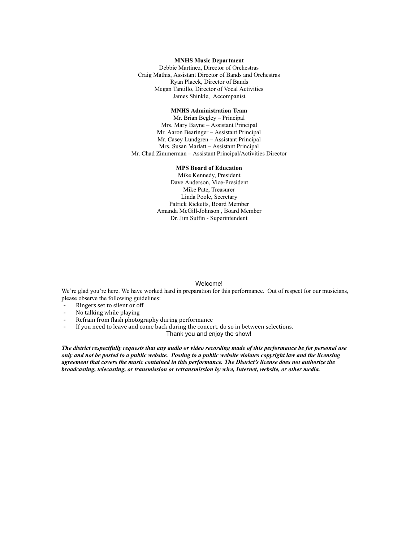#### **MNHS Music Department**

Debbie Martinez, Director of Orchestras Craig Mathis, Assistant Director of Bands and Orchestras Ryan Placek, Director of Bands Megan Tantillo, Director of Vocal Activities James Shinkle, Accompanist

### **MNHS Administration Team**

Mr. Brian Begley – Principal Mrs. Mary Bayne – Assistant Principal Mr. Aaron Bearinger - Assistant Principal Mr. Casey Lundgren - Assistant Principal Mrs. Susan Marlatt - Assistant Principal Mr. Chad Zimmerman – Assistant Principal/Activities Director

### **MPS Board of Education**

Mike Kennedy, President Dave Anderson, Vice-President Mike Pate, Treasurer Linda Poole, Secretary Patrick Ricketts, Board Member Amanda McGill-Johnson, Board Member Dr. Jim Sutfin - Superintendent

#### Welcome!

We're glad you're here. We have worked hard in preparation for this performance. Out of respect for our musicians, please observe the following guidelines:

- Ringers set to silent or off
- No talking while playing
- Refrain from flash photography during performance
- If you need to leave and come back during the concert, do so in between selections. Thank you and enjoy the show!

*The district respectfully requests that any audio or video recording made of this performance be for personal use only and not be posted to a public website. Posting to a public website violates copyright law and the licensing agreement that covers the music contained in this performance. The District's license does not authorize the broadcasting, telecasting, or transmission or retransmission by wire, Internet, website, or other media.*